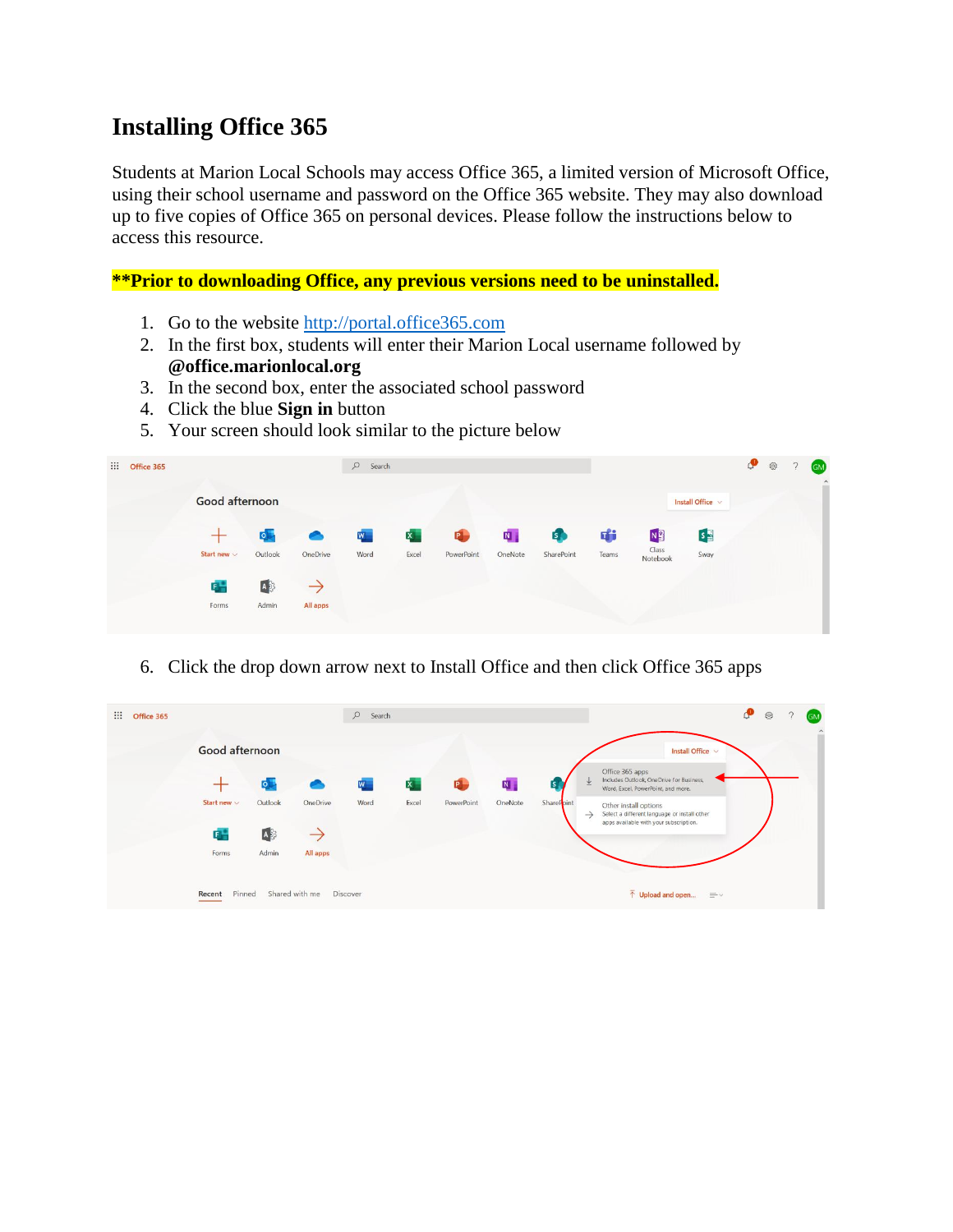## **Installing Office 365**

Students at Marion Local Schools may access Office 365, a limited version of Microsoft Office, using their school username and password on the Office 365 website. They may also download up to five copies of Office 365 on personal devices. Please follow the instructions below to access this resource.

**\*\*Prior to downloading Office, any previous versions need to be uninstalled.**

- 1. Go to the website [http://portal.office365.com](http://portal.office365.com/)
- 2. In the first box, students will enter their Marion Local username followed by **@office.marionlocal.org**
- 3. In the second box, enter the associated school password
- 4. Click the blue **Sign in** button
- 5. Your screen should look similar to the picture below

| <b>III</b><br>Office 365 |                  |                  |           | $\varphi$<br>Search |              |                |                         |              |       |                   |                   | ு | $\widehat{\mathbb{Q}}$ | $\mathcal{D}$ | <b>GM</b><br>$\hat{\phantom{a}}$ |
|--------------------------|------------------|------------------|-----------|---------------------|--------------|----------------|-------------------------|--------------|-------|-------------------|-------------------|---|------------------------|---------------|----------------------------------|
|                          | Good afternoon   |                  |           |                     |              |                |                         |              |       |                   | Install Office v  |   |                        |               |                                  |
|                          |                  | $\overline{O}$   | $\bullet$ | $W_{\parallel}$     | $\mathbf{x}$ | $\blacksquare$ | $\overline{\mathbf{N}}$ | $\mathbf{E}$ | 啪     | N <sub>3</sub>    | $S_{\frac{1}{2}}$ |   |                        |               |                                  |
|                          | Start new $\vee$ | Outlook          | OneDrive  | Word                | Excel        | PowerPoint     | OneNote                 | SharePoint   | Teams | Class<br>Notebook | Sway              |   |                        |               |                                  |
|                          | E.               | $A$ <sub>2</sub> |           |                     |              |                |                         |              |       |                   |                   |   |                        |               |                                  |
|                          | Forms            | Admin            | All apps  |                     |              |                |                         |              |       |                   |                   |   |                        |               |                                  |

6. Click the drop down arrow next to Install Office and then click Office 365 apps

| 排<br>Office 365 |                  |                |                | $\mathcal{Q}$<br>Search |              |            |         |                         |                                                                                                        | ு<br>8 | <b>GM</b><br>$\hat{\phantom{a}}$ |
|-----------------|------------------|----------------|----------------|-------------------------|--------------|------------|---------|-------------------------|--------------------------------------------------------------------------------------------------------|--------|----------------------------------|
|                 | Good afternoon   |                |                |                         |              |            |         | Install Office $\vee$   |                                                                                                        |        |                                  |
|                 |                  | $\overline{O}$ |                | W                       | $\mathbf{x}$ | P.         | N       | $\overline{\mathsf{S}}$ | Office 365 apps<br>Includes Outlook, OneDrive for Business,<br>业<br>Word, Excel, PowerPoint, and more. |        |                                  |
|                 | Start new $\vee$ | Outlook        | OneDrive       | Word                    | Excel        | PowerPoint | OneNote | SharePoint              | Other install options<br>Select a different language or install other<br>$\rightarrow$                 |        |                                  |
|                 | $F -$            | A              | $\rightarrow$  |                         |              |            |         |                         | apps available with your subscription.                                                                 |        |                                  |
|                 | Forms            | Admin          | All apps       |                         |              |            |         |                         |                                                                                                        |        |                                  |
|                 | Pinned<br>Recent |                | Shared with me | Discover                |              |            |         |                         | $\bar{\uparrow}$ Upload and open<br>$\equiv$ $\vee$                                                    |        |                                  |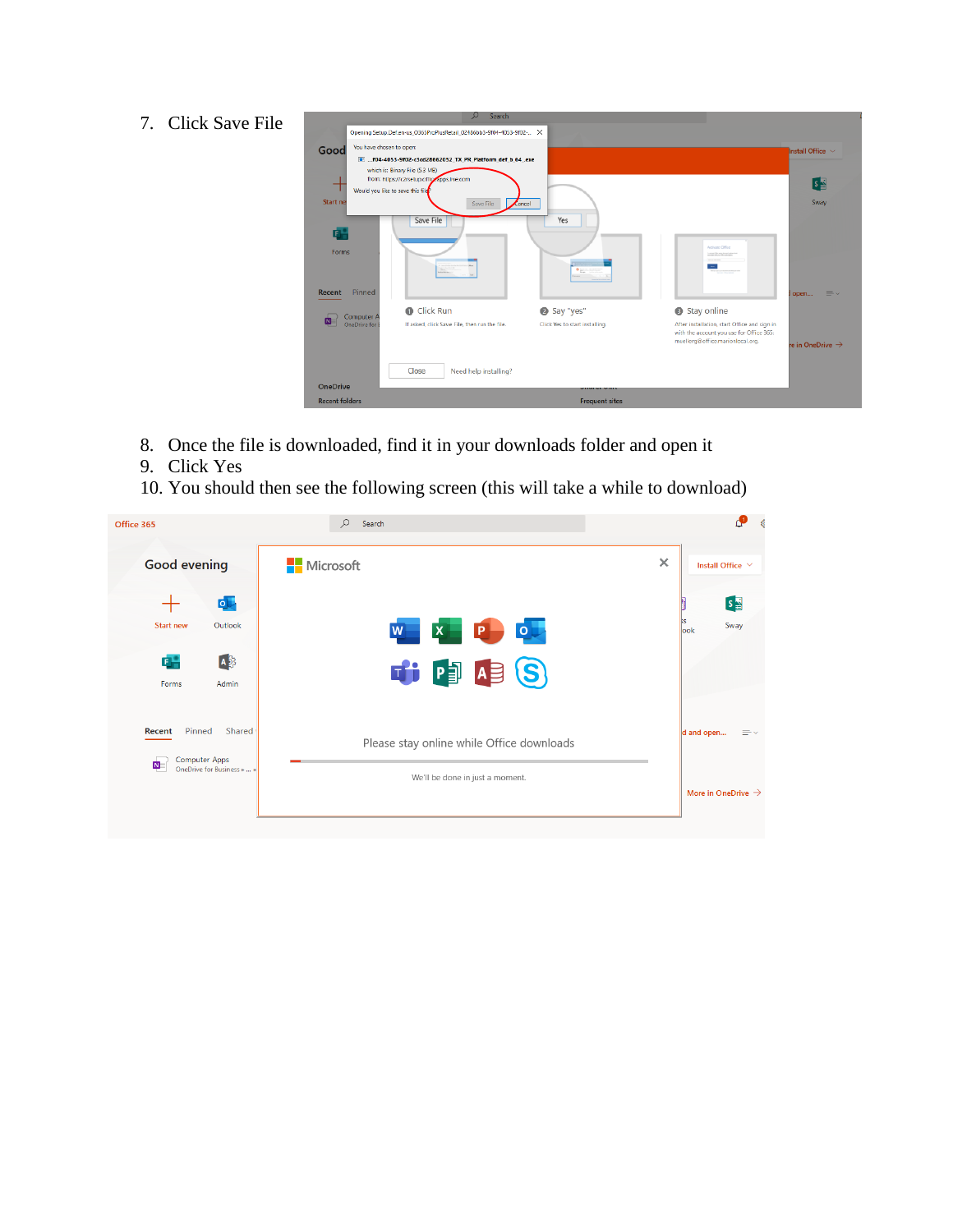## 7. Click Save File

| You have chosen to open:<br>Good | T.  f04-4053-9f02-c3cd28662052 TX PR Platform def b 64 .exe                  |                                |                                                                              | Install Office v             |
|----------------------------------|------------------------------------------------------------------------------|--------------------------------|------------------------------------------------------------------------------|------------------------------|
|                                  | which is: Binary File (5.3 MB)<br>from: https://c2rsetup.officeapps.live.com |                                |                                                                              | $s_{\rm B}$                  |
|                                  | Would you like to save this file                                             |                                |                                                                              |                              |
| <b>Start</b> ne                  | Save File                                                                    | $\epsilon$ ancel               |                                                                              | Sway                         |
|                                  | Save File                                                                    | Yes                            |                                                                              |                              |
| œ                                |                                                                              |                                |                                                                              |                              |
|                                  |                                                                              |                                | Activate Office                                                              |                              |
| <b>Forms</b>                     |                                                                              |                                | Contact Star and Around plans for                                            |                              |
|                                  |                                                                              | $\mathbf{0}_{\text{max}}$      | ≕                                                                            |                              |
|                                  |                                                                              |                                |                                                                              |                              |
| Pinned<br><b>Recent</b>          |                                                                              |                                |                                                                              | $\equiv$ $\vee$<br>l open    |
| Computer A                       | <b>O</b> Click Run                                                           | Say "yes"                      | Stay online                                                                  |                              |
| OneDrive for                     | If asked, click Save File, then run the file.                                | Click Yes to start installing. | After installation, start Office and sign in                                 |                              |
|                                  |                                                                              |                                | with the account you use for Office 365:<br>muellerg@office.marionlocal.org. |                              |
|                                  |                                                                              |                                |                                                                              | re in OneDrive $\rightarrow$ |
|                                  |                                                                              |                                |                                                                              |                              |
|                                  | Close<br>Need help installing?                                               |                                |                                                                              |                              |
|                                  |                                                                              |                                |                                                                              |                              |

- 8. Once the file is downloaded, find it in your downloads folder and open it
- 9. Click Yes
- 10. You should then see the following screen (this will take a while to download)

| Office 365                                                                                           | Q<br>Search                                                                  |                                                    |
|------------------------------------------------------------------------------------------------------|------------------------------------------------------------------------------|----------------------------------------------------|
| <b>Good evening</b>                                                                                  | <b>Nicrosoft</b>                                                             | $\times$<br>Install Office V                       |
| $\circ$<br><b>Start new</b><br>Outlook<br>$A_3^3$<br>G.<br>Admin<br>Forms                            | $X$ $P$<br>$\circ$<br>W<br>THE PEASO                                         | $s_{\frac{1}{2}}$<br>Sway<br>look                  |
| Pinned<br>Shared<br>Recent<br>Computer Apps<br>$\overline{\mathbf{N}}$<br>OneDrive for Business »  » | Please stay online while Office downloads<br>We'll be done in just a moment. | d and open<br>Ξ۰<br>More in OneDrive $\rightarrow$ |